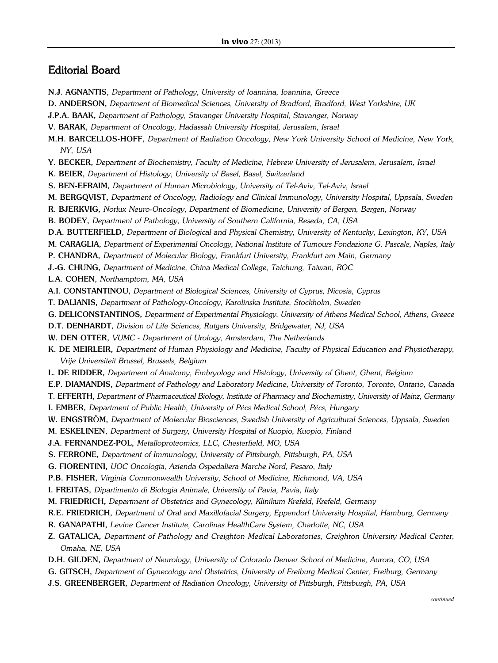## Editorial Board

- N.J. AGNANTIS, *Department of Pathology, University of Ioannina, Ioannina, Greece*
- D. ANDERSON, *Department of Biomedical Sciences, University of Bradford, Bradford, West Yorkshire, UK*
- J.P.A. BAAK, *Department of Pathology, Stavanger University Hospital, Stavanger, Norway*
- V. BARAK, *Department of Oncology, Hadassah University Hospital, Jerusalem, Israel*
- M.H. BARCELLOS-HOFF, *Department of Radiation Oncology, New York University School of Medicine, New York, NY, USA*
- Y. BECKER, *Department of Biochemistry, Faculty of Medicine, Hebrew University of Jerusalem, Jerusalem, Israel*
- K. BEIER, *Department of Histology, University of Basel, Basel, Switzerland*
- S. BEN-EFRAIM, *Department of Human Microbiology, University of Tel-Aviv, Tel-Aviv, Israel*
- M. BERGQVIST, *Department of Oncology, Radiology and Clinical Immunology, University Hospital, Uppsala, Sweden*
- R. BJERKVIG, *Norlux Neuro-Oncology, Department of Biomedicine, University of Bergen, Bergen, Norway*
- B. BODEY, *Department of Pathology, University of Southern California, Reseda, CA, USA*
- D.A. BUTTERFIELD, *Department of Biological and Physical Chemistry, University of Kentucky, Lexington, KY, USA*
- M. CARAGLIA, *Department of Experimental Oncology, National Institute of Tumours Fondazione G. Pascale, Naples, Italy*
- P. CHANDRA, *Department of Molecular Biology, Frankfurt University, Frankfurt am Main, Germany*
- J.-G. CHUNG, *Department of Medicine, China Medical College, Taichung, Taiwan, ROC*
- L.A. COHEN, *Northamptom, MA, USA*
- A.I. CONSTANTINOU, *Department of Biological Sciences, University of Cyprus, Nicosia, Cyprus*
- T. DALIANIS, *Department of Pathology-Oncology, Karolinska Institute, Stockholm, Sweden*
- G. DELICONSTANTINOS, *Department of Experimental Physiology, University of Athens Medical School, Athens, Greece*
- D.T. DENHARDT, *Division of Life Sciences, Rutgers University, Bridgewater, NJ, USA*
- W. DEN OTTER, *VUMC - Department of Urology, Amsterdam, The Netherlands*
- K. DE MEIRLEIR, *Department of Human Physiology and Medicine, Faculty of Physical Education and Physiotherapy, Vrije Universiteit Brussel, Brussels, Belgium*
- L. DE RIDDER, *Department of Anatomy, Embryology and Histology, University of Ghent, Ghent, Belgium*
- E.P. DIAMANDIS, *Department of Pathology and Laboratory Medicine, University of Toronto, Toronto, Ontario, Canada*
- T. EFFERTH, *Department of Pharmaceutical Biology, Institute of Pharmacy and Biochemistry, University of Mainz, Germany*
- I. EMBER, *Department of Public Health, University of Pécs Medical School, Pécs, Hungary*
- W. ENGSTRÖM, *Department of Molecular Biosciences, Swedish University of Agricultural Sciences, Uppsala, Sweden*
- M. ESKELINEN, *Department of Surgery, University Hospital of Kuopio, Kuopio, Finland*
- J.A. FERNANDEZ-POL, *Metalloproteomics, LLC, Chesterfield, MO, USA*
- S. FERRONE, *Department of Immunology, University of Pittsburgh, Pittsburgh, PA, USA*
- G. FIORENTINI, *UOC Oncologia, Azienda Ospedaliera Marche Nord, Pesaro, Italy*
- P.B. FISHER, *Virginia Commonwealth University, School of Medicine, Richmond, VA, USA*
- I. FREITAS, *Dipartimento di Biologia Animale, University of Pavia, Pavia, Italy*
- M. FRIEDRICH, *Department of Obstetrics and Gynecology, Klinikum Krefeld, Krefeld, Germany*
- R.E. FRIEDRICH, *Department of Oral and Maxillofacial Surgery, Eppendorf University Hospital, Hamburg, Germany*
- R. GANAPATHI, *Levine Cancer Institute, Carolinas HealthCare System, Charlotte, NC, USA*
- Z. GATALICA, *Department of Pathology and Creighton Medical Laboratories, Creighton University Medical Center, Omaha, NE, USA*
- D.H. GILDEN, *Department of Neurology, University of Colorado Denver School of Medicine, Aurora, CO, USA*
- G. GITSCH, *Department of Gynecology and Obstetrics, University of Freiburg Medical Center, Freiburg, Germany*
- J.S. GREENBERGER, *Department of Radiation Oncology, University of Pittsburgh, Pittsburgh, PA, USA*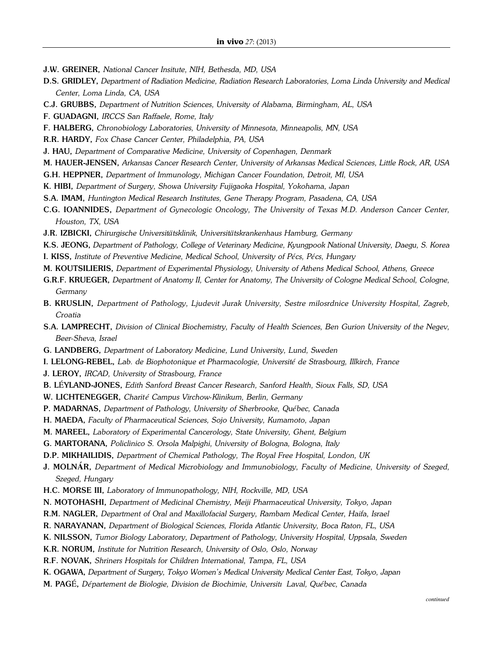- J.W. GREINER, *National Cancer Insitute, NIH, Bethesda, MD, USA*
- D.S. GRIDLEY, *Department of Radiation Medicine, Radiation Research Laboratories, Loma Linda University and Medical Center, Loma Linda, CA, USA*
- C.J. GRUBBS, *Department of Nutrition Sciences, University of Alabama, Birmingham, AL, USA*
- F. GUADAGNI, *IRCCS San Raffaele, Rome, Italy*
- F. HALBERG, *Chronobiology Laboratories, University of Minnesota, Minneapolis, MN, USA*
- R.R. HARDY, *Fox Chase Cancer Center, Philadelphia, PA, USA*
- J. HAU, *Department of Comparative Medicine, University of Copenhagen, Denmark*
- M. HAUER-JENSEN, *Arkansas Cancer Research Center, University of Arkansas Medical Sciences, Little Rock, AR, USA*
- G.H. HEPPNER, *Department of Immunology, Michigan Cancer Foundation, Detroit, MI, USA*
- K. HIBI, *Department of Surgery, Showa University Fujigaoka Hospital, Yokohama, Japan*
- S.A. IMAM, *Huntington Medical Research Institutes, Gene Therapy Program, Pasadena, CA, USA*
- C.G. IOANNIDES, *Department of Gynecologic Oncology, The University of Texas M.D. Anderson Cancer Center, Houston, TX, USA*
- J.R. IZBICKI, *Chirurgische Universitätsklinik, Universitätskrankenhaus Hamburg, Germany*
- K.S. JEONG, *Department of Pathology, College of Veterinary Medicine, Kyungpook National University, Daegu, S. Korea*
- I. KISS, *Institute of Preventive Medicine, Medical School, University of Pécs, Pécs, Hungary*
- M. KOUTSILIERIS, *Department of Experimental Physiology, University of Athens Medical School, Athens, Greece*
- G.R.F. KRUEGER, *Department of Anatomy II, Center for Anatomy, The University of Cologne Medical School, Cologne, Germany*
- B. KRUSLIN, *Department of Pathology, Ljudevit Jurak University, Sestre milosrdnice University Hospital, Zagreb, Croatia*
- S.A. LAMPRECHT, *Division of Clinical Biochemistry, Faculty of Health Sciences, Ben Gurion University of the Negev, Beer-Sheva, Israel*
- G. LANDBERG, *Department of Laboratory Medicine, Lund University, Lund, Sweden*
- I. LELONG-REBEL, *Lab. de Biophotonique et Pharmacologie, Université de Strasbourg, Illkirch, France*
- J. LEROY, *IRCAD, University of Strasbourg, France*
- B. LÉYLAND-JONES, *Edith Sanford Breast Cancer Research, Sanford Health, Sioux Falls, SD, USA*
- W. LICHTENEGGER, *Charit é Campus Virchow-Klinikum, Berlin, Germany*
- P. MADARNAS, *Department of Pathology, University of Sherbrooke, Québec, Canada*
- H. MAEDA, *Faculty of Pharmaceutical Sciences, Sojo University, Kumamoto, Japan*
- M. MAREEL, *Laboratory of Experimental Cancerology, State University, Ghent, Belgium*
- G. MARTORANA, *Policlinico S. Orsola Malpighi, University of Bologna, Bologna, Italy*
- D.P. MIKHAILIDIS, *Department of Chemical Pathology, The Royal Free Hospital, London, UK*
- J. MOLN**Á**R, *Department of Medical Microbiology and Immunobiology, Faculty of Medicine, University of Szeged, Szeged, Hungary*
- H.C. MORSE III, *Laboratory of Immunopathology, NIH, Rockville, MD, USA*
- N. MOTOHASHI, *Department of Medicinal Chemistry, Meiji Pharmaceutical University, Tokyo, Japan*
- R.M. NAGLER, *Department of Oral and Maxillofacial Surgery, Rambam Medical Center, Haifa, Israel*
- R. NARAYANAN, *Department of Biological Sciences, Florida Atlantic University, Boca Raton, FL, USA*
- K. NILSSON, *Tumor Biology Laboratory, Department of Pathology, University Hospital, Uppsala, Sweden*
- K.R. NORUM, *Institute for Nutrition Research, University of Oslo, Oslo, Norway*
- R.F. NOVAK, *Shriners Hospitals for Children International, Tampa, FL, USA*
- K. OGAWA, *Department of Surgery, Tokyo Women's Medical University Medical Center East, Tokyo, Japan*
- M. PAGÉ, *Département de Biologie, Division de Biochimie, Université Laval, Québec, Canada*